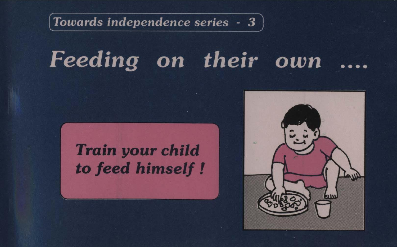$\lceil$  Towards independence series  $-3$ 

# Feeding on their own

# **Train your child** to feed himself !

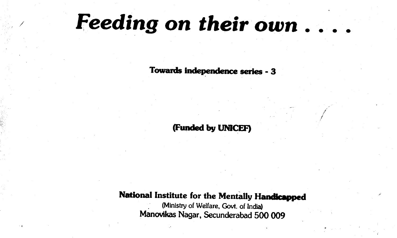# Feeding on their own . . . .

Towards Independence series -3

(Funded by UNICEF)

### National Institute for the Mentally Handicapped

(Ministry of Welfare, Govt. of India) Manovikas Nagar, Secunderabad 500 009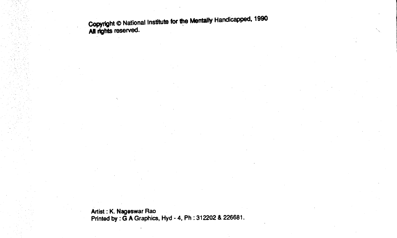Copyright © National Institute for the Mentally Handicapped, 1990 All rights reserved.

Artist : K. Nageswar Rao Printed by :  $\bar{G}$  A Graphics, Hyd - 4, Ph : 312202 & 226681.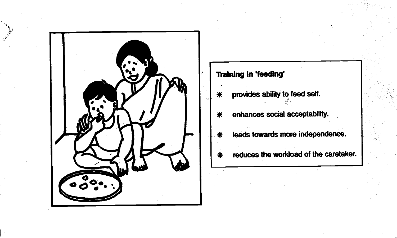

**Training in 'feeding'** provides ability to feed self. ⋇ enhances social acceptability.  $\ast$ leads towards more independence. ⋇ reduces the workload of the caretaker. ☀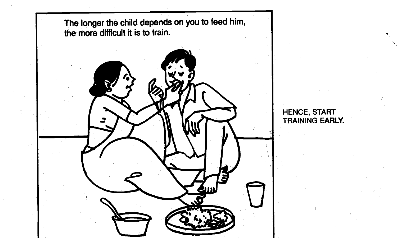

HENCE, START TRAINING EARLY.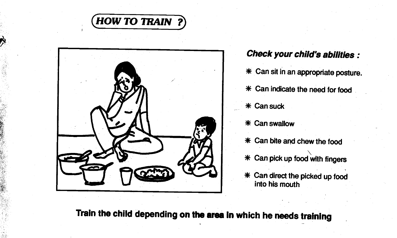



Check your child's abilities: \* Can sit in an appropriate posture. \* Can indicate the need for food \* Can suck \* Can swallow

- $*$  Can bite and chew the food
- $*$  Can pick up food with fingers
- \* Can direct the picked up food into his mouth

Train the child depending on the area in which he needs training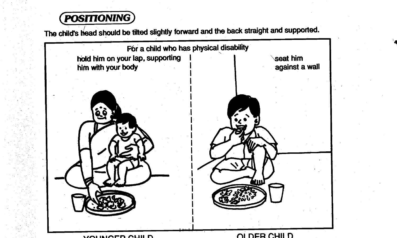## POSITIONING)

The child's head should be tilted slightly forward and the back straight and supported.

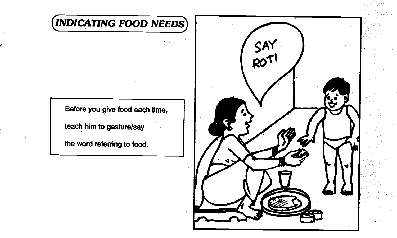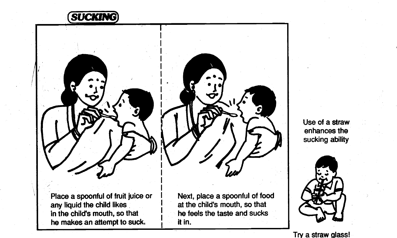

Use of a straw enhances the sucking ability



Place a spoonful of fruit juice or any liquid the child likes in the child's mouth, so that he makes an attempt to suck.  $\frac{1}{1}$  it in.

Next, place a spoonful of food at the child's mouth, so that he feels the taste and sucks

Try a straw qiass!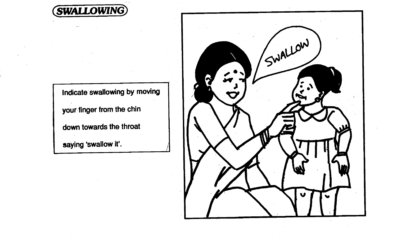

Indicate swallowing by moving

your finger from the chin

down towards the throat

saying 'swallow it'.

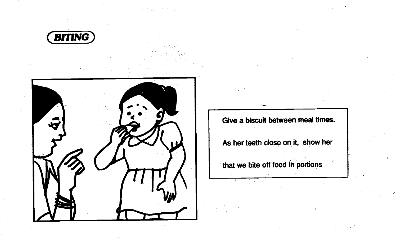



Give a biscuit between meal times.

As her teeth close on it, show her

that we bite off food in portions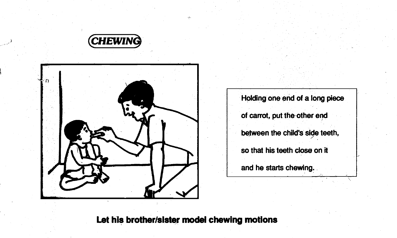



Holding one end of a long piece of carrot, put the-other end between the child's side teeth, so that his teeth close on it and he starts chewing.

#### Let his brother/sister model chewing motions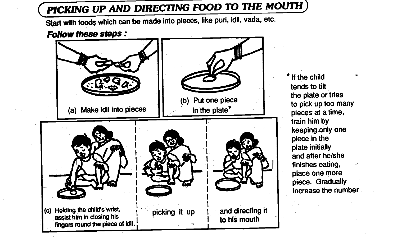## PICKING UP AND DIRECTING FOOD TO THE MOUTH

Start with foods which can be made into pieces, like puri, idli, vada, etc.

Follow these steps :



\* If the child tends to tilt the plate or tries to pick up too many pieces at a time, train him by keeping-only one piece in the plate initially and after he/she finishes eating, place one more piece. Gradually increase the number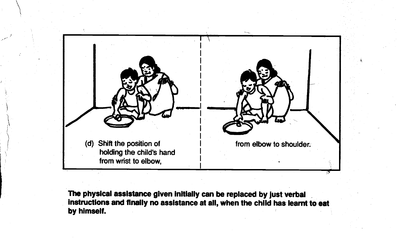

The physical assistance given initially can be replaced by just verbal instructions and finally no assistance at all, when the child has learnt to eat by himself.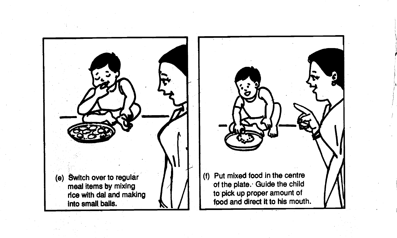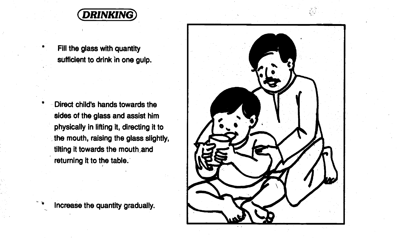

Fill the glass with quantity sufficient to drink in one gulp.

Direct child's hands towards the sides of the glass and assist him physically in lifting it, directing it to the mouth, raising the glass slightly, tilting it towards the mouth and returning it to the table.

Increase the quantity gradually.

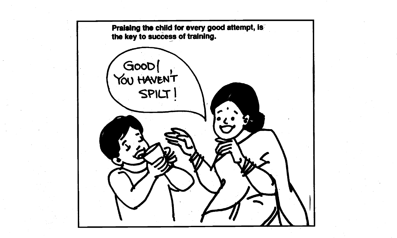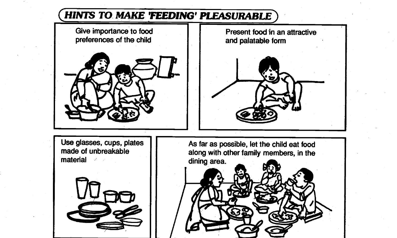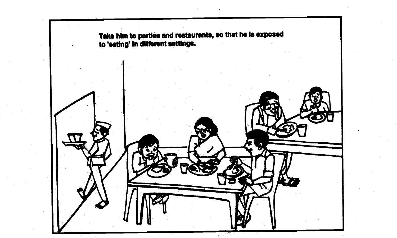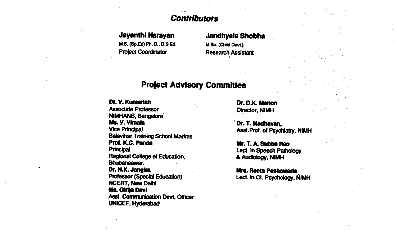#### **Contributors**

M.S. (Sp.Ed) Ph. D., D.S.Ed. Project Coordinator Research Assistant

# **Jayanthi Narayan Jandhyala Shobha**<br>M.S. (Sp.Ed) Ph. D., D.S.Ed. M.Sc. (Child Devt.)

#### **Project Advisory Committee**

Dr. V. Kumariah Dr. D.K. Menon<br>Associate Professor Dr. D. Director NIMH Associate Professor<br>NIMHANS, Bangalore Dr. V. Kumanan<br>Associate Professor<br>NIMHANS, Bangabre **- Ms. V. Vimaia Dr. T. Madhavan, Director**, NIMH<br>Ms. V. Vimaia Dr. T. Madhavan, Vice Principal Asst.Prof. of Psychiatry, NIMH Balavihar Training School Madras<br>Prof. K.C. Panda Prof. K.C. Panda Mr. 1. A. Subba Rao Regional College of Education, Bhubaneswar. Dr. N.K. Jangira **Ills. Reeta Peshawaria Dr. N.K. Jangira Ills. Reeta Peshawaria** Professor (Special Education) NCERT, New.Delhi Ms. Girija Devi Aset. Communication Devt. Officer UNICEF, Hyderalad

Lect. in Speech Pathology<br>& Audiology, NIMH

Lect. in CI. Psychology, NIMH